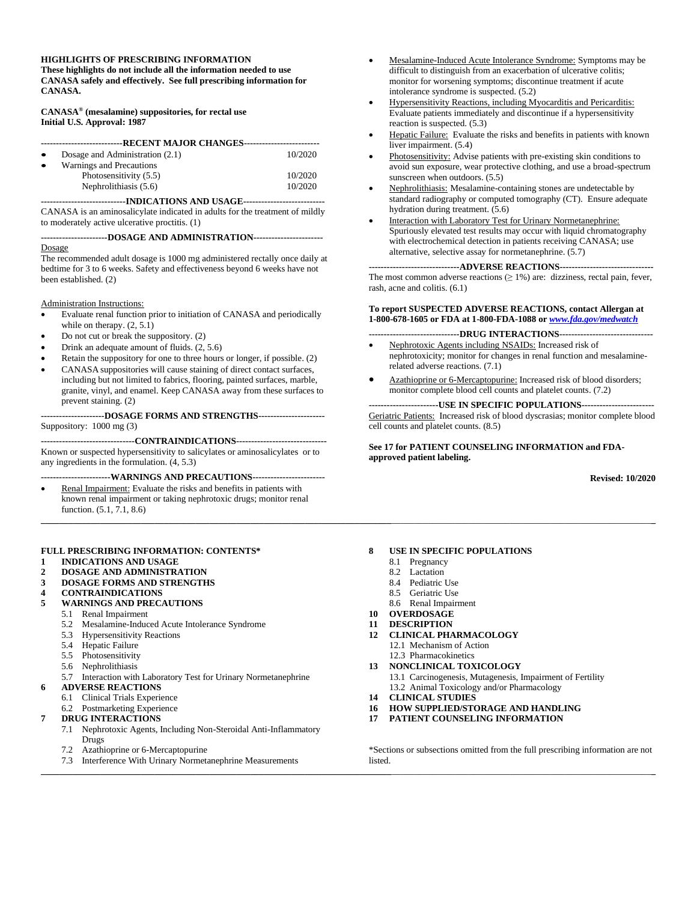#### **HIGHLIGHTS OF PRESCRIBING INFORMATION**

**These highlights do not include all the information needed to use CANASA safely and effectively. See full prescribing information for CANASA.** 

**CANASA® (mesalamine) suppositories, for rectal use Initial U.S. Approval: 1987**

| ---------------------------RECENT MAJOR CHANGES------------------------- |                                 |         |  |  |  |
|--------------------------------------------------------------------------|---------------------------------|---------|--|--|--|
|                                                                          |                                 |         |  |  |  |
|                                                                          | Dosage and Administration (2.1) | 10/2020 |  |  |  |
| $\bullet$                                                                | Warnings and Precautions        |         |  |  |  |
|                                                                          | Photosensitivity (5.5)          | 10/2020 |  |  |  |
|                                                                          | Nephrolithiasis (5.6)           | 10/2020 |  |  |  |

**----------------------------INDICATIONS AND USAGE---------------------------** CANASA is an aminosalicylate indicated in adults for the treatment of mildly to moderately active ulcerative proctitis. (1)

#### **----------------------DOSAGE AND ADMINISTRATION-----------------------** Dosage

The recommended adult dosage is 1000 mg administered rectally once daily at bedtime for 3 to 6 weeks. Safety and effectiveness beyond 6 weeks have not been established. (2)

#### Administration Instructions:

- Evaluate renal function prior to initiation of CANASA and periodically while on therapy. (2, 5.1)
- Do not cut or break the suppository. (2)
- Drink an adequate amount of fluids. (2, 5.6)
- Retain the suppository for one to three hours or longer, if possible. (2)
- CANASA suppositories will cause staining of direct contact surfaces, including but not limited to fabrics, flooring, painted surfaces, marble, granite, vinyl, and enamel. Keep CANASA away from these surfaces to prevent staining. (2)

**---------------------DOSAGE FORMS AND STRENGTHS----------------------**

Suppository: 1000 mg (3)

**-------------------------------CONTRAINDICATIONS------------------------------** Known or suspected hypersensitivity to salicylates or aminosalicylates or to any ingredients in the formulation. (4, 5.3)

**-----------------------WARNINGS AND PRECAUTIONS------------------------**

Renal Impairment: Evaluate the risks and benefits in patients with known renal impairment or taking nephrotoxic drugs; monitor renal function. (5.1, 7.1, 8.6) **\_\_\_\_\_\_\_\_\_\_\_\_\_\_\_\_\_\_\_\_\_\_\_\_\_\_\_\_\_\_\_\_\_\_\_\_\_\_\_\_\_\_\_\_\_\_\_\_\_\_\_\_\_\_\_\_\_\_\_\_\_\_\_\_\_\_\_\_\_\_\_\_\_\_\_\_\_**\_\_\_\_\_\_\_\_\_\_\_\_\_\_\_\_\_\_\_\_\_\_\_\_\_\_\_\_\_\_\_\_\_\_\_\_\_\_\_\_\_\_\_\_\_\_\_\_\_\_\_\_\_\_\_\_\_**\_**

#### **FULL PRESCRIBING INFORMATION: CONTENTS\***

- **1 [INDICATIONS AND USAGE](#page-1-0)**
- **2 [DOSAGE AND ADMINISTRATION](#page-1-1)**
- **3 [DOSAGE FORMS AND STRENGTHS](#page-1-2)**
- **4 [CONTRAINDICATIONS](#page-1-3)**

### **5 [WARNINGS AND PRECAUTIONS](#page-1-4)**

- 5.1 [Renal Impairment](#page-1-5)
	- 5.2 [Mesalamine-Induced Acute Intolerance Syndrome](#page-1-6)
	- 5.3 [Hypersensitivity Reactions](#page-1-7)
	- 5.4 [Hepatic Failure](#page-2-0)
	- [5.5 Photosensitivity](#page-2-1)
- 5.6 [Nephrolithiasis](#page-2-2)<br>5.7 Interaction with
- 5.7 [Interaction with Laboratory Test for Urinary Normetanephrine](#page-2-3)
- **6 [ADVERSE REACTIONS](#page-2-4)**
	- 6.1 [Clinical Trials Experience](#page-2-5)
	- 6.2 [Postmarketing Experience](#page-3-0)

#### **7 [DRUG INTERACTIONS](#page-3-1)**

- 7.1 [Nephrotoxic Agents, Including Non-Steroidal Anti-Inflammatory](#page-3-2)  [Drugs](#page-3-2)
- 7.2 Azathioprine or [6-Mercaptopurine](#page-3-3)
- 7.3 [Interference With Urinary Normetanephrine Measurements](#page-3-4)
- Mesalamine-Induced Acute Intolerance Syndrome: Symptoms may be difficult to distinguish from an exacerbation of ulcerative colitis; monitor for worsening symptoms; discontinue treatment if acute intolerance syndrome is suspected. (5.2)
- Hypersensitivity Reactions, including Myocarditis and Pericarditis: Evaluate patients immediately and discontinue if a hypersensitivity reaction is suspected. (5.3)
- Hepatic Failure: Evaluate the risks and benefits in patients with known liver impairment. (5.4)
- Photosensitivity: Advise patients with pre-existing skin conditions to avoid sun exposure, wear protective clothing, and use a broad-spectrum sunscreen when outdoors. (5.5)
- Nephrolithiasis: Mesalamine-containing stones are undetectable by standard radiography or computed tomography (CT). Ensure adequate hydration during treatment. (5.6)
- Interaction with Laboratory Test for Urinary Normetanephrine: Spuriously elevated test results may occur with liquid chromatography with electrochemical detection in patients receiving CANASA; use alternative, selective assay for normetanephrine. (5.7)

#### **------------------------------ADVERSE REACTIONS-------------------------------**

The most common adverse reactions  $(≥ 1%)$  are: dizziness, rectal pain, fever, rash, acne and colitis. (6.1)

#### **To report SUSPECTED ADVERSE REACTIONS, contact Allergan at 1-800-678-1605 or FDA at 1-800-FDA-1088 or** *[www.fda.gov/medwatch](http://www.fda.gov/medwatch)*

- **------------------------------DRUG INTERACTIONS-------------------------------**
- Nephrotoxic Agents including NSAIDs: Increased risk of nephrotoxicity; monitor for changes in renal function and mesalaminerelated adverse reactions. (7.1)
- Azathioprine or 6-Mercaptopurine: Increased risk of blood disorders; monitor complete blood cell counts and platelet counts. (7.2)

#### **-----------------------USE IN SPECIFIC POPULATIONS------------------------** Geriatric Patients: Increased risk of blood dyscrasias; monitor complete blood cell counts and platelet counts. (8.5)

#### **See 17 for PATIENT COUNSELING INFORMATION and FDAapproved patient labeling.**

**Revised: 10/2020**

#### **8 [USE IN SPECIFIC POPULATIONS](#page-3-5)**

- 8.1 [Pregnancy](#page-3-6)
- 8.2 [Lactation](#page-4-0)
- 8.4 [Pediatric Use](#page-4-1)
- 8.5 [Geriatric Use](#page-4-2)
- 8.6 [Renal Impairment](#page-4-3)
- **10 [OVERDOSAGE](#page-4-4)**
- **11 [DESCRIPTION](#page-4-5)**
- **12 [CLINICAL PHARMACOLOGY](#page-5-0)**
	- 12.1 [Mechanism of Action](#page-5-1) 12.3 [Pharmacokinetics](#page-5-2)
- **13 [NONCLINICAL TOXICOLOGY](#page-5-3)**
	- 13.1 [Carcinogenesis, Mutagenesis, Impairment of Fertility](#page-5-4) 13.2 [Animal Toxicology and/or Pharmacology](#page-6-0)
- **14 [CLINICAL STUDIES](#page-6-1)**

**\_\_\_\_\_\_\_\_\_\_\_\_\_\_\_\_\_\_\_\_\_\_\_\_\_\_\_\_\_\_\_\_\_\_\_\_\_\_\_\_\_\_\_\_\_\_\_\_\_\_\_\_\_\_\_\_\_\_\_\_\_\_\_\_\_\_\_\_\_\_\_\_\_\_\_\_\_**\_\_\_\_\_\_\_\_\_\_\_\_\_\_\_\_\_\_\_\_\_\_\_\_\_\_\_\_\_\_\_\_\_\_\_\_\_\_\_\_\_\_\_\_\_\_\_\_\_\_\_\_\_\_\_\_\_**\_**

- **16 [HOW SUPPLIED/STORAGE AND HANDLING](#page-6-2)**
- **17 [PATIENT COUNSELING INFORMATION](#page-7-0)**

\*Sections or subsections omitted from the full prescribing information are not listed.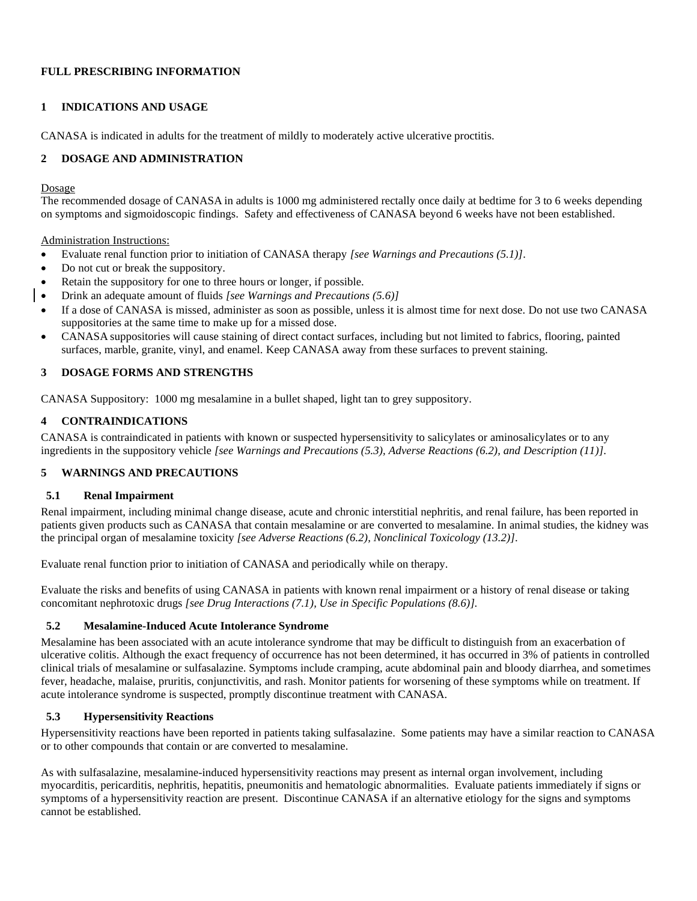## **FULL PRESCRIBING INFORMATION**

### <span id="page-1-0"></span>**1 INDICATIONS AND USAGE**

CANASA is indicated in adults for the treatment of mildly to moderately active ulcerative proctitis.

## <span id="page-1-1"></span>**2 DOSAGE AND ADMINISTRATION**

#### Dosage

The recommended dosage of CANASA in adults is 1000 mg administered rectally once daily at bedtime for 3 to 6 weeks depending on symptoms and sigmoidoscopic findings. Safety and effectiveness of CANASA beyond 6 weeks have not been established.

Administration Instructions:

- Evaluate renal function prior to initiation of CANASA therapy *[see Warnings and Precautions (5.1)]*.
- Do not cut or break the suppository.
- Retain the suppository for one to three hours or longer, if possible.
- Drink an adequate amount of fluids *[see Warnings and Precautions (5.6)]*
- If a dose of CANASA is missed, administer as soon as possible, unless it is almost time for next dose. Do not use two CANASA suppositories at the same time to make up for a missed dose.
- CANASA suppositories will cause staining of direct contact surfaces, including but not limited to fabrics, flooring, painted surfaces, marble, granite, vinyl, and enamel. Keep CANASA away from these surfaces to prevent staining.

## <span id="page-1-2"></span>**3 DOSAGE FORMS AND STRENGTHS**

CANASA Suppository: 1000 mg mesalamine in a bullet shaped, light tan to grey suppository.

## <span id="page-1-3"></span>**4 CONTRAINDICATIONS**

CANASA is contraindicated in patients with known or suspected hypersensitivity to salicylates or aminosalicylates or to any ingredients in the suppository vehicle *[see Warnings and Precautions (5.3), Adverse Reactions (6.2), and Description (11)]*.

# <span id="page-1-4"></span>**5 WARNINGS AND PRECAUTIONS**

#### <span id="page-1-5"></span>**5.1 Renal Impairment**

Renal impairment, including minimal change disease, acute and chronic interstitial nephritis, and renal failure, has been reported in patients given products such as CANASA that contain mesalamine or are converted to mesalamine. In animal studies, the kidney was the principal organ of mesalamine toxicity *[see Adverse Reactions (6.2), Nonclinical Toxicology (13.2)]*.

Evaluate renal function prior to initiation of CANASA and periodically while on therapy.

Evaluate the risks and benefits of using CANASA in patients with known renal impairment or a history of renal disease or taking concomitant nephrotoxic drugs *[see Drug Interactions (7.1), Use in Specific Populations (8.6)].*

#### <span id="page-1-6"></span>**5.2 Mesalamine-Induced Acute Intolerance Syndrome**

Mesalamine has been associated with an acute intolerance syndrome that may be difficult to distinguish from an exacerbation of ulcerative colitis. Although the exact frequency of occurrence has not been determined, it has occurred in 3% of patients in controlled clinical trials of mesalamine or sulfasalazine. Symptoms include cramping, acute abdominal pain and bloody diarrhea, and sometimes fever, headache, malaise, pruritis, conjunctivitis, and rash. Monitor patients for worsening of these symptoms while on treatment. If acute intolerance syndrome is suspected, promptly discontinue treatment with CANASA.

# <span id="page-1-7"></span>**5.3 Hypersensitivity Reactions**

Hypersensitivity reactions have been reported in patients taking sulfasalazine. Some patients may have a similar reaction to CANASA or to other compounds that contain or are converted to mesalamine.

As with sulfasalazine, mesalamine-induced hypersensitivity reactions may present as internal organ involvement, including myocarditis, pericarditis, nephritis, hepatitis, pneumonitis and hematologic abnormalities. Evaluate patients immediately if signs or symptoms of a hypersensitivity reaction are present. Discontinue CANASA if an alternative etiology for the signs and symptoms cannot be established.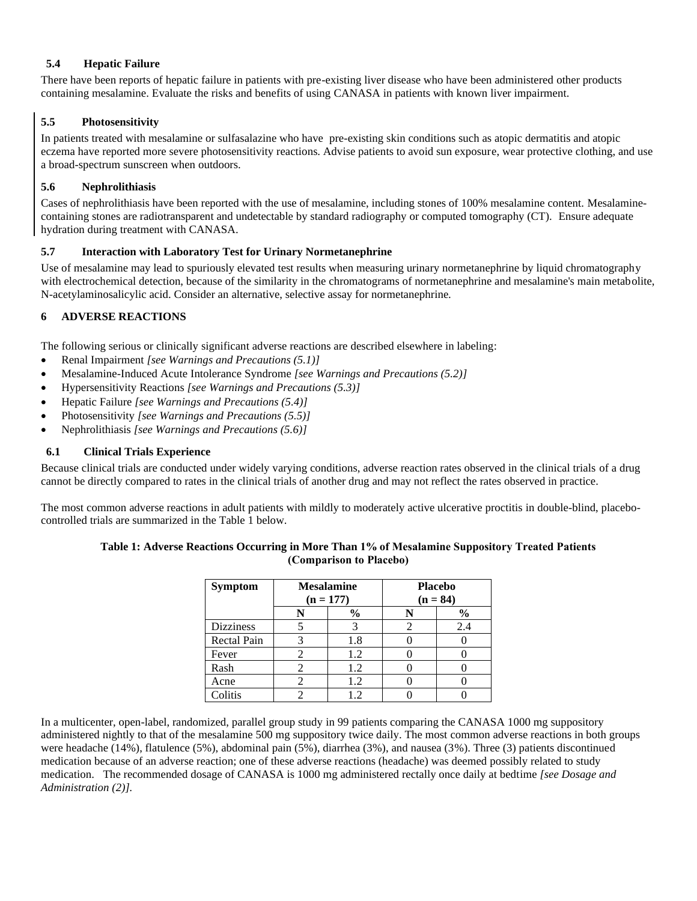## <span id="page-2-0"></span>**5.4 Hepatic Failure**

There have been reports of hepatic failure in patients with pre-existing liver disease who have been administered other products containing mesalamine. Evaluate the risks and benefits of using CANASA in patients with known liver impairment.

# <span id="page-2-1"></span>**5.5 Photosensitivity**

In patients treated with mesalamine or sulfasalazine who have pre-existing skin conditions such as atopic dermatitis and atopic eczema have reported more severe photosensitivity reactions. Advise patients to avoid sun exposure, wear protective clothing, and use a broad-spectrum sunscreen when outdoors.

## <span id="page-2-2"></span>**5.6 Nephrolithiasis**

Cases of nephrolithiasis have been reported with the use of mesalamine, including stones of 100% mesalamine content. Mesalaminecontaining stones are radiotransparent and undetectable by standard radiography or computed tomography (CT). Ensure adequate hydration during treatment with CANASA.

#### <span id="page-2-3"></span>**5.7 Interaction with Laboratory Test for Urinary Normetanephrine**

Use of mesalamine may lead to spuriously elevated test results when measuring urinary normetanephrine by liquid chromatography with electrochemical detection, because of the similarity in the chromatograms of normetanephrine and mesalamine's main metabolite, N-acetylaminosalicylic acid. Consider an alternative, selective assay for normetanephrine.

## <span id="page-2-4"></span>**6 ADVERSE REACTIONS**

The following serious or clinically significant adverse reactions are described elsewhere in labeling:

- Renal Impairment *[see Warnings and Precautions (5.1)]*
- Mesalamine-Induced Acute Intolerance Syndrome *[see Warnings and Precautions (5.2)]*
- Hypersensitivity Reactions *[see Warnings and Precautions (5.3)]*
- Hepatic Failure *[see Warnings and Precautions (5.4)]*
- Photosensitivity *[see Warnings and Precautions (5.5)]*
- Nephrolithiasis *[see Warnings and Precautions (5.6)]*

#### <span id="page-2-5"></span>**6.1 Clinical Trials Experience**

Because clinical trials are conducted under widely varying conditions, adverse reaction rates observed in the clinical trials of a drug cannot be directly compared to rates in the clinical trials of another drug and may not reflect the rates observed in practice.

The most common adverse reactions in adult patients with mildly to moderately active ulcerative proctitis in double-blind, placebocontrolled trials are summarized in the Table 1 below.

#### **Table 1: Adverse Reactions Occurring in More Than 1% of Mesalamine Suppository Treated Patients (Comparison to Placebo)**

| <b>Symptom</b>     | <b>Mesalamine</b><br>$(n = 177)$ |      | <b>Placebo</b><br>$(n = 84)$ |               |
|--------------------|----------------------------------|------|------------------------------|---------------|
|                    |                                  | $\%$ |                              | $\frac{6}{6}$ |
| <b>Dizziness</b>   |                                  |      |                              | 2.4           |
| <b>Rectal Pain</b> |                                  | 1.8  |                              |               |
| Fever              |                                  | 1.2  |                              |               |
| Rash               |                                  | 1.2  |                              |               |
| Acne               |                                  | 1.2  |                              |               |
| Colitis            |                                  | 1.2. |                              |               |

In a multicenter, open-label, randomized, parallel group study in 99 patients comparing the CANASA 1000 mg suppository administered nightly to that of the mesalamine 500 mg suppository twice daily. The most common adverse reactions in both groups were headache (14%), flatulence (5%), abdominal pain (5%), diarrhea (3%), and nausea (3%). Three (3) patients discontinued medication because of an adverse reaction; one of these adverse reactions (headache) was deemed possibly related to study medication. The recommended dosage of CANASA is 1000 mg administered rectally once daily at bedtime *[see Dosage and Administration (2)].*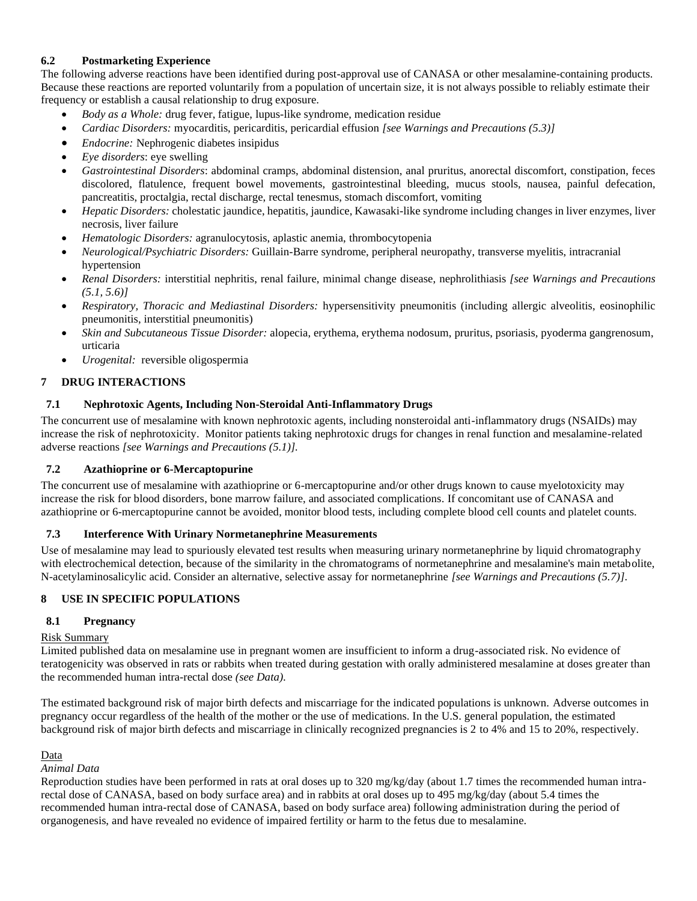## <span id="page-3-0"></span>**6.2 Postmarketing Experience**

The following adverse reactions have been identified during post-approval use of CANASA or other mesalamine-containing products. Because these reactions are reported voluntarily from a population of uncertain size, it is not always possible to reliably estimate their frequency or establish a causal relationship to drug exposure.

- *Body as a Whole:* drug fever, fatigue, lupus-like syndrome, medication residue
- *Cardiac Disorders:* myocarditis, pericarditis, pericardial effusion *[see Warnings and Precautions (5.3)]*
- *Endocrine:* Nephrogenic diabetes insipidus
- *Eye disorders*: eye swelling
- *Gastrointestinal Disorders*: abdominal cramps, abdominal distension, anal pruritus, anorectal discomfort, constipation, feces discolored, flatulence, frequent bowel movements, gastrointestinal bleeding, mucus stools, nausea, painful defecation, pancreatitis, proctalgia, rectal discharge, rectal tenesmus, stomach discomfort, vomiting
- *Hepatic Disorders:* cholestatic jaundice, hepatitis, jaundice, Kawasaki-like syndrome including changes in liver enzymes, liver necrosis, liver failure
- *Hematologic Disorders:* agranulocytosis, aplastic anemia, thrombocytopenia
- *Neurological/Psychiatric Disorders:* Guillain-Barre syndrome, peripheral neuropathy, transverse myelitis, intracranial hypertension
- *Renal Disorders:* interstitial nephritis, renal failure, minimal change disease, nephrolithiasis *[see Warnings and Precautions (5.1, 5.6)]*
- *Respiratory, Thoracic and Mediastinal Disorders:* hypersensitivity pneumonitis (including allergic alveolitis, eosinophilic pneumonitis, interstitial pneumonitis)
- *Skin and Subcutaneous Tissue Disorder:* alopecia, erythema, erythema nodosum, pruritus, psoriasis*,* pyoderma gangrenosum, urticaria
- *Urogenital:* reversible oligospermia

# <span id="page-3-1"></span>**7 DRUG INTERACTIONS**

# <span id="page-3-2"></span>**7.1 Nephrotoxic Agents, Including Non-Steroidal Anti-Inflammatory Drugs**

The concurrent use of mesalamine with known nephrotoxic agents, including nonsteroidal anti-inflammatory drugs (NSAIDs) may increase the risk of nephrotoxicity. Monitor patients taking nephrotoxic drugs for changes in renal function and mesalamine-related adverse reactions *[see Warnings and Precautions (5.1)].*

#### <span id="page-3-3"></span>**7.2 Azathioprine or 6-Mercaptopurine**

The concurrent use of mesalamine with azathioprine or 6-mercaptopurine and/or other drugs known to cause myelotoxicity may increase the risk for blood disorders, bone marrow failure, and associated complications. If concomitant use of CANASA and azathioprine or 6-mercaptopurine cannot be avoided, monitor blood tests, including complete blood cell counts and platelet counts.

#### <span id="page-3-4"></span>**7.3 Interference With Urinary Normetanephrine Measurements**

Use of mesalamine may lead to spuriously elevated test results when measuring urinary normetanephrine by liquid chromatography with electrochemical detection, because of the similarity in the chromatograms of normetanephrine and mesalamine's main metabolite, N-acetylaminosalicylic acid. Consider an alternative, selective assay for normetanephrine *[see Warnings and Precautions (5.7)]*.

# <span id="page-3-5"></span>**8 USE IN SPECIFIC POPULATIONS**

# <span id="page-3-6"></span>**8.1 Pregnancy**

#### Risk Summary

Limited published data on mesalamine use in pregnant women are insufficient to inform a drug-associated risk. No evidence of teratogenicity was observed in rats or rabbits when treated during gestation with orally administered mesalamine at doses greater than the recommended human intra-rectal dose *(see Data)*.

The estimated background risk of major birth defects and miscarriage for the indicated populations is unknown. Adverse outcomes in pregnancy occur regardless of the health of the mother or the use of medications. In the U.S. general population, the estimated background risk of major birth defects and miscarriage in clinically recognized pregnancies is 2 to 4% and 15 to 20%, respectively.

#### Data

### *Animal Data*

Reproduction studies have been performed in rats at oral doses up to 320 mg/kg/day (about 1.7 times the recommended human intrarectal dose of CANASA, based on body surface area) and in rabbits at oral doses up to 495 mg/kg/day (about 5.4 times the recommended human intra-rectal dose of CANASA, based on body surface area) following administration during the period of organogenesis, and have revealed no evidence of impaired fertility or harm to the fetus due to mesalamine.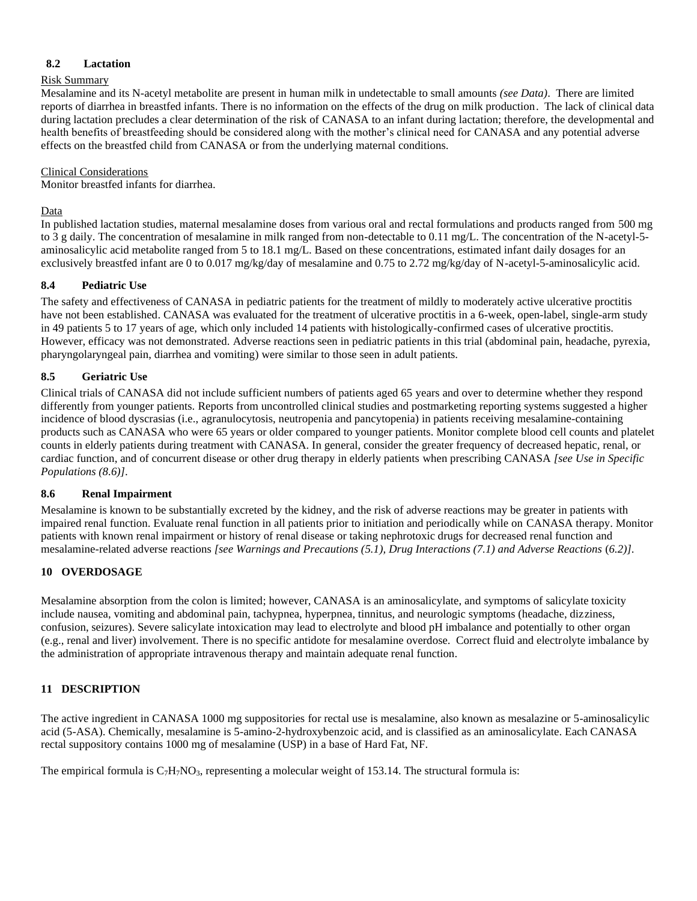## <span id="page-4-0"></span>**8.2 Lactation**

#### Risk Summary

Mesalamine and its N-acetyl metabolite are present in human milk in undetectable to small amounts *(see Data)*. There are limited reports of diarrhea in breastfed infants. There is no information on the effects of the drug on milk production. The lack of clinical data during lactation precludes a clear determination of the risk of CANASA to an infant during lactation; therefore, the developmental and health benefits of breastfeeding should be considered along with the mother's clinical need for CANASA and any potential adverse effects on the breastfed child from CANASA or from the underlying maternal conditions.

#### Clinical Considerations

Monitor breastfed infants for diarrhea.

### Data

In published lactation studies, maternal mesalamine doses from various oral and rectal formulations and products ranged from 500 mg to 3 g daily. The concentration of mesalamine in milk ranged from non-detectable to 0.11 mg/L. The concentration of the N-acetyl-5 aminosalicylic acid metabolite ranged from 5 to 18.1 mg/L. Based on these concentrations, estimated infant daily dosages for an exclusively breastfed infant are 0 to 0.017 mg/kg/day of mesalamine and 0.75 to 2.72 mg/kg/day of N-acetyl-5-aminosalicylic acid.

## <span id="page-4-1"></span>**8.4 Pediatric Use**

The safety and effectiveness of CANASA in pediatric patients for the treatment of mildly to moderately active ulcerative proctitis have not been established. CANASA was evaluated for the treatment of ulcerative proctitis in a 6-week, open-label, single-arm study in 49 patients 5 to 17 years of age, which only included 14 patients with histologically-confirmed cases of ulcerative proctitis. However, efficacy was not demonstrated. Adverse reactions seen in pediatric patients in this trial (abdominal pain, headache, pyrexia, pharyngolaryngeal pain, diarrhea and vomiting) were similar to those seen in adult patients.

# <span id="page-4-2"></span>**8.5 Geriatric Use**

Clinical trials of CANASA did not include sufficient numbers of patients aged 65 years and over to determine whether they respond differently from younger patients. Reports from uncontrolled clinical studies and postmarketing reporting systems suggested a higher incidence of blood dyscrasias (i.e., agranulocytosis, neutropenia and pancytopenia) in patients receiving mesalamine-containing products such as CANASA who were 65 years or older compared to younger patients. Monitor complete blood cell counts and platelet counts in elderly patients during treatment with CANASA. In general, consider the greater frequency of decreased hepatic, renal, or cardiac function, and of concurrent disease or other drug therapy in elderly patients when prescribing CANASA *[see Use in Specific Populations (8.6)]*.

#### <span id="page-4-3"></span>**8.6 Renal Impairment**

Mesalamine is known to be substantially excreted by the kidney, and the risk of adverse reactions may be greater in patients with impaired renal function. Evaluate renal function in all patients prior to initiation and periodically while on CANASA therapy. Monitor patients with known renal impairment or history of renal disease or taking nephrotoxic drugs for decreased renal function and mesalamine-related adverse reactions *[see Warnings and Precautions (5.1), Drug Interactions (7.1) and Adverse Reactions (6.2)]*.

# <span id="page-4-4"></span>**10 OVERDOSAGE**

Mesalamine absorption from the colon is limited; however, CANASA is an aminosalicylate, and symptoms of salicylate toxicity include nausea, vomiting and abdominal pain, tachypnea, hyperpnea, tinnitus, and neurologic symptoms (headache, dizziness, confusion, seizures). Severe salicylate intoxication may lead to electrolyte and blood pH imbalance and potentially to other organ (e.g., renal and liver) involvement. There is no specific antidote for mesalamine overdose. Correct fluid and electrolyte imbalance by the administration of appropriate intravenous therapy and maintain adequate renal function.

# <span id="page-4-5"></span>**11 DESCRIPTION**

The active ingredient in CANASA 1000 mg suppositories for rectal use is mesalamine, also known as mesalazine or 5-aminosalicylic acid (5-ASA). Chemically, mesalamine is 5-amino-2-hydroxybenzoic acid, and is classified as an aminosalicylate. Each CANASA rectal suppository contains 1000 mg of mesalamine (USP) in a base of Hard Fat, NF.

The empirical formula is  $C_7H_7NO_3$ , representing a molecular weight of 153.14. The structural formula is: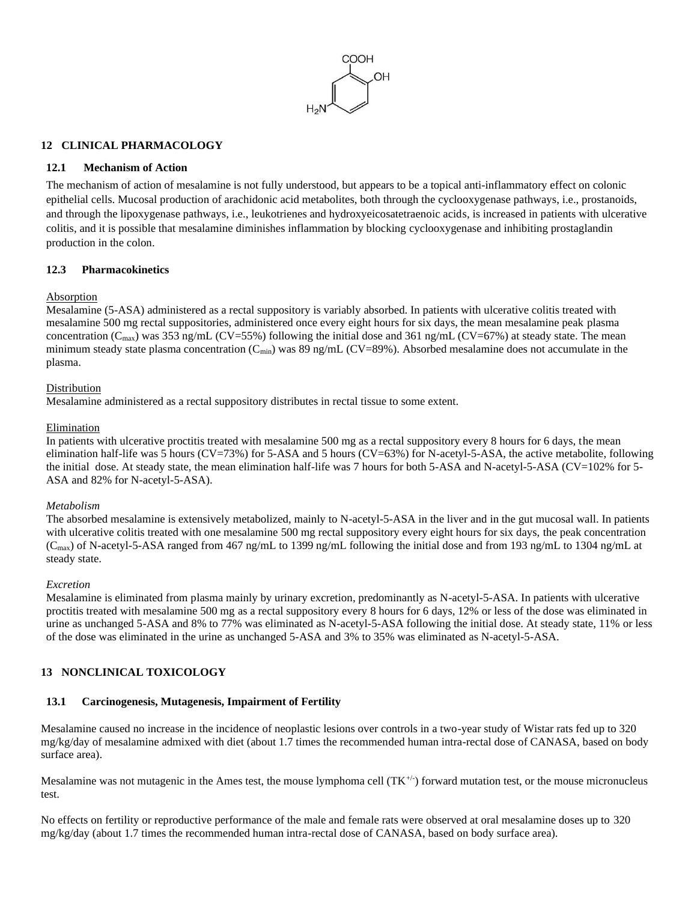

### <span id="page-5-0"></span>**12 CLINICAL PHARMACOLOGY**

#### <span id="page-5-1"></span>**12.1 Mechanism of Action**

The mechanism of action of mesalamine is not fully understood, but appears to be a topical anti-inflammatory effect on colonic epithelial cells. Mucosal production of arachidonic acid metabolites, both through the cyclooxygenase pathways, i.e., prostanoids, and through the lipoxygenase pathways, i.e., leukotrienes and hydroxyeicosatetraenoic acids, is increased in patients with ulcerative colitis, and it is possible that mesalamine diminishes inflammation by blocking cyclooxygenase and inhibiting prostaglandin production in the colon.

## <span id="page-5-2"></span>**12.3 Pharmacokinetics**

#### Absorption

Mesalamine (5-ASA) administered as a rectal suppository is variably absorbed. In patients with ulcerative colitis treated with mesalamine 500 mg rectal suppositories, administered once every eight hours for six days, the mean mesalamine peak plasma concentration ( $C_{\text{max}}$ ) was 353 ng/mL (CV=55%) following the initial dose and 361 ng/mL (CV=67%) at steady state. The mean minimum steady state plasma concentration ( $C_{\text{min}}$ ) was 89 ng/mL (CV=89%). Absorbed mesalamine does not accumulate in the plasma.

#### Distribution

Mesalamine administered as a rectal suppository distributes in rectal tissue to some extent.

#### Elimination

In patients with ulcerative proctitis treated with mesalamine 500 mg as a rectal suppository every 8 hours for 6 days, the mean elimination half-life was 5 hours (CV=73%) for 5-ASA and 5 hours (CV=63%) for N-acetyl-5-ASA, the active metabolite, following the initial dose. At steady state, the mean elimination half-life was 7 hours for both 5-ASA and N-acetyl-5-ASA (CV=102% for 5- ASA and 82% for N-acetyl-5-ASA).

#### *Metabolism*

The absorbed mesalamine is extensively metabolized, mainly to N-acetyl-5-ASA in the liver and in the gut mucosal wall. In patients with ulcerative colitis treated with one mesalamine 500 mg rectal suppository every eight hours for six days, the peak concentration  $(C_{\text{max}})$  of N-acetyl-5-ASA ranged from 467 ng/mL to 1399 ng/mL following the initial dose and from 193 ng/mL to 1304 ng/mL at steady state.

#### *Excretion*

Mesalamine is eliminated from plasma mainly by urinary excretion, predominantly as N-acetyl-5-ASA. In patients with ulcerative proctitis treated with mesalamine 500 mg as a rectal suppository every 8 hours for 6 days, 12% or less of the dose was eliminated in urine as unchanged 5-ASA and 8% to 77% was eliminated as N-acetyl-5-ASA following the initial dose. At steady state, 11% or less of the dose was eliminated in the urine as unchanged 5-ASA and 3% to 35% was eliminated as N-acetyl-5-ASA.

# <span id="page-5-3"></span>**13 NONCLINICAL TOXICOLOGY**

# <span id="page-5-4"></span>**13.1 Carcinogenesis, Mutagenesis, Impairment of Fertility**

Mesalamine caused no increase in the incidence of neoplastic lesions over controls in a two-year study of Wistar rats fed up to 320 mg/kg/day of mesalamine admixed with diet (about 1.7 times the recommended human intra-rectal dose of CANASA, based on body surface area).

Mesalamine was not mutagenic in the Ames test, the mouse lymphoma cell  $(TK^{+\prime})$  forward mutation test, or the mouse micronucleus test.

No effects on fertility or reproductive performance of the male and female rats were observed at oral mesalamine doses up to 320 mg/kg/day (about 1.7 times the recommended human intra-rectal dose of CANASA, based on body surface area).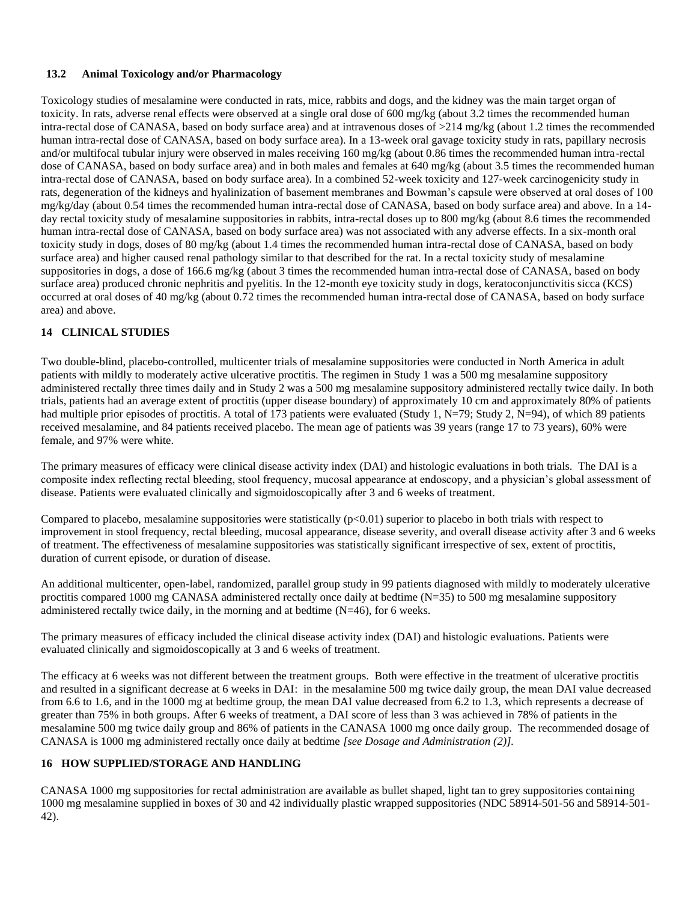#### <span id="page-6-0"></span>**13.2 Animal Toxicology and/or Pharmacology**

Toxicology studies of mesalamine were conducted in rats, mice, rabbits and dogs, and the kidney was the main target organ of toxicity. In rats, adverse renal effects were observed at a single oral dose of 600 mg/kg (about 3.2 times the recommended human intra-rectal dose of CANASA, based on body surface area) and at intravenous doses of >214 mg/kg (about 1.2 times the recommended human intra-rectal dose of CANASA, based on body surface area). In a 13-week oral gavage toxicity study in rats, papillary necrosis and/or multifocal tubular injury were observed in males receiving 160 mg/kg (about 0.86 times the recommended human intra-rectal dose of CANASA, based on body surface area) and in both males and females at 640 mg/kg (about 3.5 times the recommended human intra-rectal dose of CANASA, based on body surface area). In a combined 52-week toxicity and 127-week carcinogenicity study in rats, degeneration of the kidneys and hyalinization of basement membranes and Bowman's capsule were observed at oral doses of 100 mg/kg/day (about 0.54 times the recommended human intra-rectal dose of CANASA, based on body surface area) and above. In a 14 day rectal toxicity study of mesalamine suppositories in rabbits, intra-rectal doses up to 800 mg/kg (about 8.6 times the recommended human intra-rectal dose of CANASA, based on body surface area) was not associated with any adverse effects. In a six-month oral toxicity study in dogs, doses of 80 mg/kg (about 1.4 times the recommended human intra-rectal dose of CANASA, based on body surface area) and higher caused renal pathology similar to that described for the rat. In a rectal toxicity study of mesalamine suppositories in dogs, a dose of 166.6 mg/kg (about 3 times the recommended human intra-rectal dose of CANASA, based on body surface area) produced chronic nephritis and pyelitis. In the 12-month eye toxicity study in dogs, keratoconjunctivitis sicca (KCS) occurred at oral doses of 40 mg/kg (about 0.72 times the recommended human intra-rectal dose of CANASA, based on body surface area) and above.

# <span id="page-6-1"></span>**14 CLINICAL STUDIES**

Two double-blind, placebo-controlled, multicenter trials of mesalamine suppositories were conducted in North America in adult patients with mildly to moderately active ulcerative proctitis. The regimen in Study 1 was a 500 mg mesalamine suppository administered rectally three times daily and in Study 2 was a 500 mg mesalamine suppository administered rectally twice daily. In both trials, patients had an average extent of proctitis (upper disease boundary) of approximately 10 cm and approximately 80% of patients had multiple prior episodes of proctitis. A total of 173 patients were evaluated (Study 1, N=79; Study 2, N=94), of which 89 patients received mesalamine, and 84 patients received placebo. The mean age of patients was 39 years (range 17 to 73 years), 60% were female, and 97% were white.

The primary measures of efficacy were clinical disease activity index (DAI) and histologic evaluations in both trials. The DAI is a composite index reflecting rectal bleeding, stool frequency, mucosal appearance at endoscopy, and a physician's global assessment of disease. Patients were evaluated clinically and sigmoidoscopically after 3 and 6 weeks of treatment.

Compared to placebo, mesalamine suppositories were statistically  $(p<0.01)$  superior to placebo in both trials with respect to improvement in stool frequency, rectal bleeding, mucosal appearance, disease severity, and overall disease activity after 3 and 6 weeks of treatment. The effectiveness of mesalamine suppositories was statistically significant irrespective of sex, extent of proctitis, duration of current episode, or duration of disease.

An additional multicenter, open-label, randomized, parallel group study in 99 patients diagnosed with mildly to moderately ulcerative proctitis compared 1000 mg CANASA administered rectally once daily at bedtime (N=35) to 500 mg mesalamine suppository administered rectally twice daily, in the morning and at bedtime (N=46), for 6 weeks.

The primary measures of efficacy included the clinical disease activity index (DAI) and histologic evaluations. Patients were evaluated clinically and sigmoidoscopically at 3 and 6 weeks of treatment.

The efficacy at 6 weeks was not different between the treatment groups. Both were effective in the treatment of ulcerative proctitis and resulted in a significant decrease at 6 weeks in DAI: in the mesalamine 500 mg twice daily group, the mean DAI value decreased from 6.6 to 1.6, and in the 1000 mg at bedtime group, the mean DAI value decreased from 6.2 to 1.3, which represents a decrease of greater than 75% in both groups. After 6 weeks of treatment, a DAI score of less than 3 was achieved in 78% of patients in the mesalamine 500 mg twice daily group and 86% of patients in the CANASA 1000 mg once daily group. The recommended dosage of CANASA is 1000 mg administered rectally once daily at bedtime *[see Dosage and Administration (2)].*

#### <span id="page-6-2"></span>**16 HOW SUPPLIED/STORAGE AND HANDLING**

CANASA 1000 mg suppositories for rectal administration are available as bullet shaped, light tan to grey suppositories containing 1000 mg mesalamine supplied in boxes of 30 and 42 individually plastic wrapped suppositories (NDC 58914-501-56 and 58914-501- 42).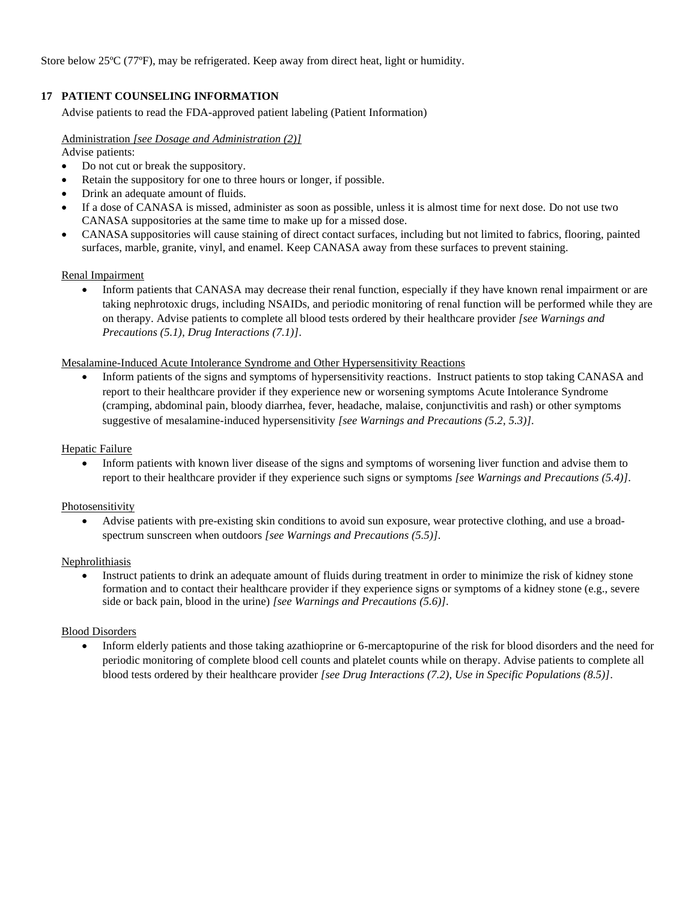Store below 25ºC (77ºF), may be refrigerated. Keep away from direct heat, light or humidity.

# <span id="page-7-0"></span>**17 PATIENT COUNSELING INFORMATION**

Advise patients to read the FDA-approved patient labeling (Patient Information)

#### Administration *[see Dosage and Administration (2)]*

Advise patients:

- Do not cut or break the suppository.
- Retain the suppository for one to three hours or longer, if possible.
- Drink an adequate amount of fluids*.*
- If a dose of CANASA is missed, administer as soon as possible, unless it is almost time for next dose. Do not use two CANASA suppositories at the same time to make up for a missed dose.
- CANASA suppositories will cause staining of direct contact surfaces, including but not limited to fabrics, flooring, painted surfaces, marble, granite, vinyl, and enamel. Keep CANASA away from these surfaces to prevent staining.

#### Renal Impairment

• Inform patients that CANASA may decrease their renal function, especially if they have known renal impairment or are taking nephrotoxic drugs, including NSAIDs, and periodic monitoring of renal function will be performed while they are on therapy. Advise patients to complete all blood tests ordered by their healthcare provider *[see Warnings and Precautions (5.1), Drug Interactions (7.1)]*.

#### Mesalamine-Induced Acute Intolerance Syndrome and Other Hypersensitivity Reactions

• Inform patients of the signs and symptoms of hypersensitivity reactions. Instruct patients to stop taking CANASA and report to their healthcare provider if they experience new or worsening symptoms Acute Intolerance Syndrome (cramping, abdominal pain, bloody diarrhea, fever, headache, malaise, conjunctivitis and rash) or other symptoms suggestive of mesalamine-induced hypersensitivity *[see Warnings and Precautions (5.2, 5.3)]*.

#### Hepatic Failure

• Inform patients with known liver disease of the signs and symptoms of worsening liver function and advise them to report to their healthcare provider if they experience such signs or symptoms *[see Warnings and Precautions (5.4)]*.

#### **Photosensitivity**

• Advise patients with pre-existing skin conditions to avoid sun exposure, wear protective clothing, and use a broadspectrum sunscreen when outdoors *[see Warnings and Precautions (5.5)]*.

#### Nephrolithiasis

• Instruct patients to drink an adequate amount of fluids during treatment in order to minimize the risk of kidney stone formation and to contact their healthcare provider if they experience signs or symptoms of a kidney stone (e.g., severe side or back pain, blood in the urine) *[see Warnings and Precautions (5.6)]*.

#### Blood Disorders

• Inform elderly patients and those taking azathioprine or 6-mercaptopurine of the risk for blood disorders and the need for periodic monitoring of complete blood cell counts and platelet counts while on therapy. Advise patients to complete all blood tests ordered by their healthcare provider *[see Drug Interactions (7.2), Use in Specific Populations (8.5)]*.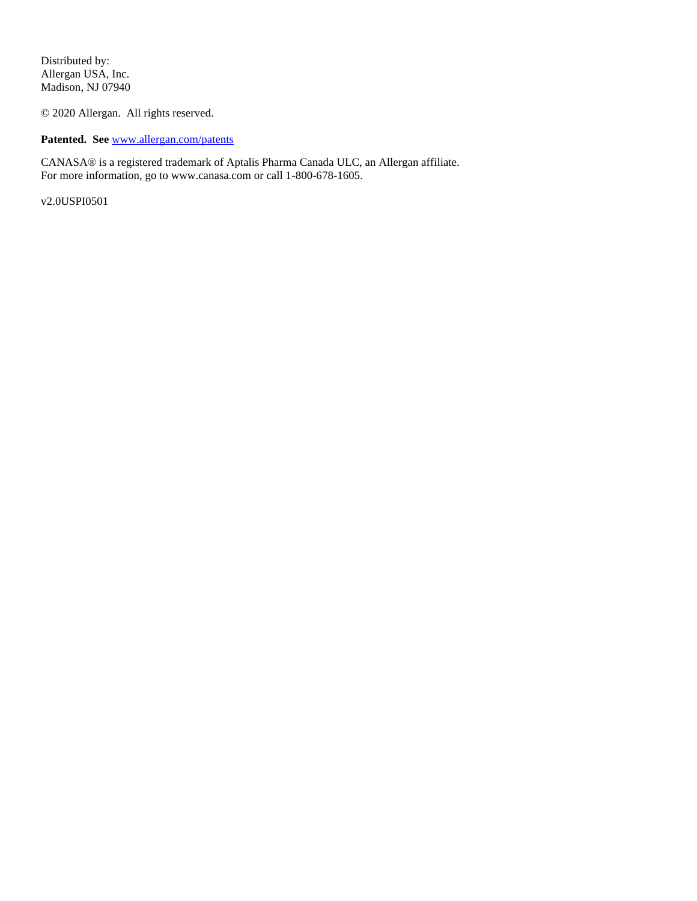Distributed by: Allergan USA, Inc. Madison, NJ 07940

© 2020 Allergan. All rights reserved.

**Patented. See** [www.allergan.com/patents](http://www.allergan.com/patents)

CANASA® is a registered trademark of Aptalis Pharma Canada ULC, an Allergan affiliate. For more information, go to www.canasa.com or call 1-800-678-1605.

v2.0USPI0501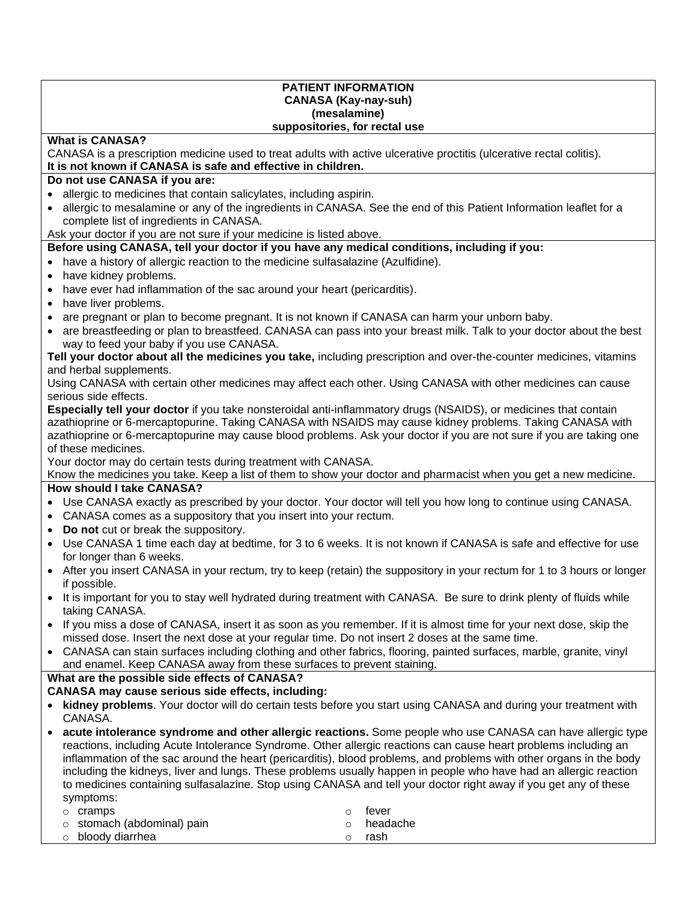#### **PATIENT INFORMATION CANASA (Kay-nay-suh) (mesalamine) suppositories, for rectal use**

# **What is CANASA?**

CANASA is a prescription medicine used to treat adults with active ulcerative proctitis (ulcerative rectal colitis). **It is not known if CANASA is safe and effective in children.** 

## **Do not use CANASA if you are:**

- allergic to medicines that contain salicylates, including aspirin.
- allergic to mesalamine or any of the ingredients in CANASA. See the end of this Patient Information leaflet for a complete list of ingredients in CANASA.

Ask your doctor if you are not sure if your medicine is listed above.

## **Before using CANASA, tell your doctor if you have any medical conditions, including if you:**

• have a history of allergic reaction to the medicine sulfasalazine (Azulfidine).

- have kidney problems.
- have ever had inflammation of the sac around your heart (pericarditis).
- have liver problems.
- are pregnant or plan to become pregnant. It is not known if CANASA can harm your unborn baby.
- are breastfeeding or plan to breastfeed. CANASA can pass into your breast milk. Talk to your doctor about the best way to feed your baby if you use CANASA.

### **Tell your doctor about all the medicines you take,** including prescription and over-the-counter medicines, vitamins and herbal supplements.

Using CANASA with certain other medicines may affect each other. Using CANASA with other medicines can cause serious side effects.

**Especially tell your doctor** if you take nonsteroidal anti-inflammatory drugs (NSAIDS), or medicines that contain azathioprine or 6-mercaptopurine. Taking CANASA with NSAIDS may cause kidney problems. Taking CANASA with azathioprine or 6-mercaptopurine may cause blood problems. Ask your doctor if you are not sure if you are taking one of these medicines.

Your doctor may do certain tests during treatment with CANASA.

Know the medicines you take. Keep a list of them to show your doctor and pharmacist when you get a new medicine.

# **How should I take CANASA?**

- Use CANASA exactly as prescribed by your doctor. Your doctor will tell you how long to continue using CANASA.
- CANASA comes as a suppository that you insert into your rectum.
- **Do not** cut or break the suppository.
- Use CANASA 1 time each day at bedtime, for 3 to 6 weeks. It is not known if CANASA is safe and effective for use for longer than 6 weeks.
- After you insert CANASA in your rectum, try to keep (retain) the suppository in your rectum for 1 to 3 hours or longer if possible.
- It is important for you to stay well hydrated during treatment with CANASA. Be sure to drink plenty of fluids while taking CANASA.
- If you miss a dose of CANASA, insert it as soon as you remember. If it is almost time for your next dose, skip the missed dose. Insert the next dose at your regular time. Do not insert 2 doses at the same time.
- CANASA can stain surfaces including clothing and other fabrics, flooring, painted surfaces, marble, granite, vinyl and enamel. Keep CANASA away from these surfaces to prevent staining.

#### **What are the possible side effects of CANASA?**

# **CANASA may cause serious side effects, including:**

- **kidney problems**. Your doctor will do certain tests before you start using CANASA and during your treatment with CANASA.
- **acute intolerance syndrome and other allergic reactions.** Some people who use CANASA can have allergic type reactions, including Acute Intolerance Syndrome. Other allergic reactions can cause heart problems including an inflammation of the sac around the heart (pericarditis), blood problems, and problems with other organs in the body including the kidneys, liver and lungs. These problems usually happen in people who have had an allergic reaction to medicines containing sulfasalazine. Stop using CANASA and tell your doctor right away if you get any of these symptoms:

| o <b>cramps</b>                  | $\cap$ | fever      |
|----------------------------------|--------|------------|
| $\circ$ stomach (abdominal) pain |        | ○ headache |
| $\circ$ bloody diarrhea          |        | rash       |